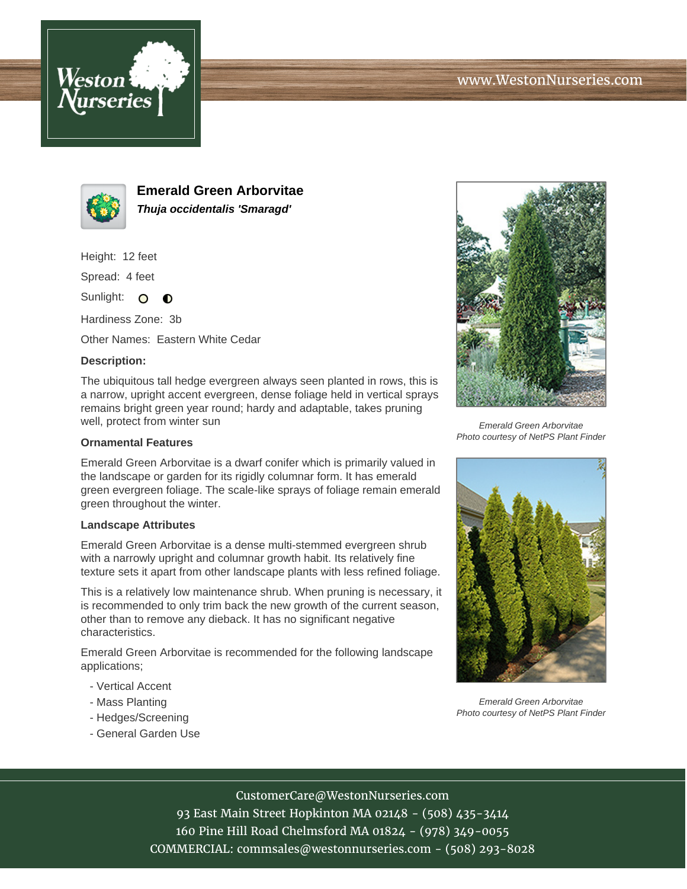



**Emerald Green Arborvitae Thuja occidentalis 'Smaragd'**

Height: 12 feet

Spread: 4 feet

Sunlight: O **O** 

Hardiness Zone: 3b

Other Names: Eastern White Cedar

## **Description:**

The ubiquitous tall hedge evergreen always seen planted in rows, this is a narrow, upright accent evergreen, dense foliage held in vertical sprays remains bright green year round; hardy and adaptable, takes pruning well, protect from winter sun

### **Ornamental Features**

Emerald Green Arborvitae is a dwarf conifer which is primarily valued in the landscape or garden for its rigidly columnar form. It has emerald green evergreen foliage. The scale-like sprays of foliage remain emerald green throughout the winter.

#### **Landscape Attributes**

Emerald Green Arborvitae is a dense multi-stemmed evergreen shrub with a narrowly upright and columnar growth habit. Its relatively fine texture sets it apart from other landscape plants with less refined foliage.

This is a relatively low maintenance shrub. When pruning is necessary, it is recommended to only trim back the new growth of the current season, other than to remove any dieback. It has no significant negative characteristics.

Emerald Green Arborvitae is recommended for the following landscape applications;

- Vertical Accent
- Mass Planting
- Hedges/Screening
- General Garden Use



Emerald Green Arborvitae Photo courtesy of NetPS Plant Finder



Emerald Green Arborvitae Photo courtesy of NetPS Plant Finder

# CustomerCare@WestonNurseries.com

93 East Main Street Hopkinton MA 02148 - (508) 435-3414 160 Pine Hill Road Chelmsford MA 01824 - (978) 349-0055 COMMERCIAL: commsales@westonnurseries.com - (508) 293-8028